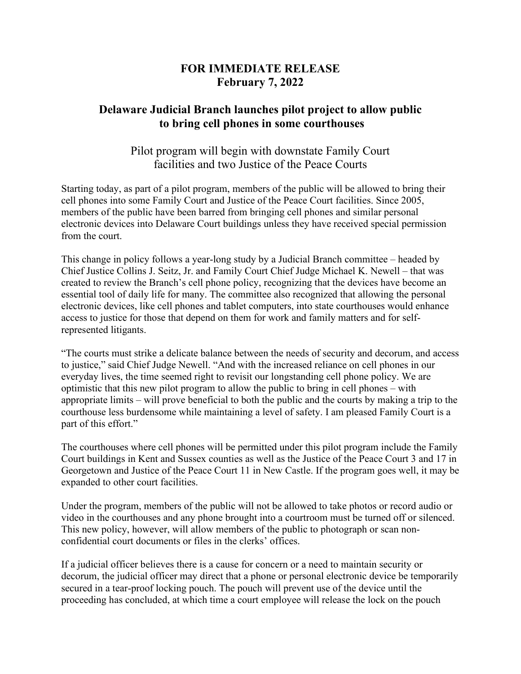## **FOR IMMEDIATE RELEASE February 7, 2022**

## **Delaware Judicial Branch launches pilot project to allow public to bring cell phones in some courthouses**

## Pilot program will begin with downstate Family Court facilities and two Justice of the Peace Courts

Starting today, as part of a pilot program, members of the public will be allowed to bring their cell phones into some Family Court and Justice of the Peace Court facilities. Since 2005, members of the public have been barred from bringing cell phones and similar personal electronic devices into Delaware Court buildings unless they have received special permission from the court.

This change in policy follows a year-long study by a Judicial Branch committee – headed by Chief Justice Collins J. Seitz, Jr. and Family Court Chief Judge Michael K. Newell – that was created to review the Branch's cell phone policy, recognizing that the devices have become an essential tool of daily life for many. The committee also recognized that allowing the personal electronic devices, like cell phones and tablet computers, into state courthouses would enhance access to justice for those that depend on them for work and family matters and for selfrepresented litigants.

"The courts must strike a delicate balance between the needs of security and decorum, and access to justice," said Chief Judge Newell. "And with the increased reliance on cell phones in our everyday lives, the time seemed right to revisit our longstanding cell phone policy. We are optimistic that this new pilot program to allow the public to bring in cell phones – with appropriate limits – will prove beneficial to both the public and the courts by making a trip to the courthouse less burdensome while maintaining a level of safety. I am pleased Family Court is a part of this effort."

The courthouses where cell phones will be permitted under this pilot program include the Family Court buildings in Kent and Sussex counties as well as the Justice of the Peace Court 3 and 17 in Georgetown and Justice of the Peace Court 11 in New Castle. If the program goes well, it may be expanded to other court facilities.

Under the program, members of the public will not be allowed to take photos or record audio or video in the courthouses and any phone brought into a courtroom must be turned off or silenced. This new policy, however, will allow members of the public to photograph or scan nonconfidential court documents or files in the clerks' offices.

If a judicial officer believes there is a cause for concern or a need to maintain security or decorum, the judicial officer may direct that a phone or personal electronic device be temporarily secured in a tear-proof locking pouch. The pouch will prevent use of the device until the proceeding has concluded, at which time a court employee will release the lock on the pouch